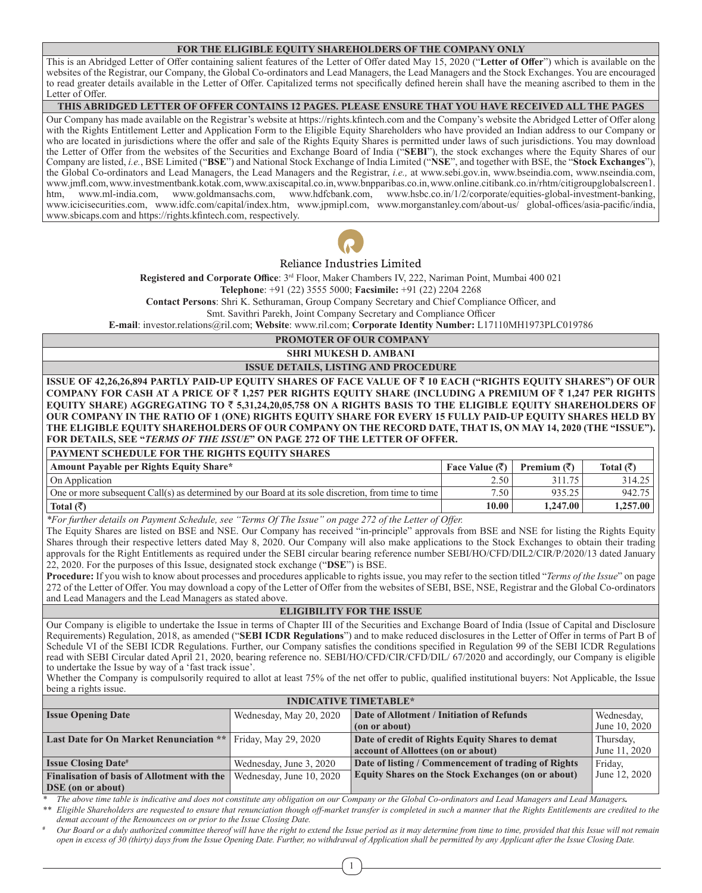# **FOR THE ELIGIBLE EQUITY SHAREHOLDERS OF THE COMPANY ONLY**

This is an Abridged Letter of Offer containing salient features of the Letter of Offer dated May 15, 2020 ("**Letter of Offer**") which is available on the websites of the Registrar, our Company, the Global Co-ordinators and Lead Managers, the Lead Managers and the Stock Exchanges. You are encouraged to read greater details available in the Letter of Offer. Capitalized terms not specifically defined herein shall have the meaning ascribed to them in the Letter of Offer.

### **THIS ABRIDGED LETTER OF OFFER CONTAINS 12 PAGES. PLEASE ENSURE THAT YOU HAVE RECEIVED ALL THE PAGES**

Our Company has made available on the Registrar's website at https://rights.kfintech.com and the Company's website the Abridged Letter of Offer along with the Rights Entitlement Letter and Application Form to the Eligible Equity Shareholders who have provided an Indian address to our Company or who are located in jurisdictions where the offer and sale of the Rights Equity Shares is permitted under laws of such jurisdictions. You may download the Letter of Offer from the websites of the Securities and Exchange Board of India ("**SEBI**"), the stock exchanges where the Equity Shares of our Company are listed, *i.e.*, BSE Limited ("**BSE**") and National Stock Exchange of India Limited ("**NSE**", and together with BSE, the "**Stock Exchanges**"), the Global Co-ordinators and Lead Managers, the Lead Managers and the Registrar, *i.e.,* at www.sebi.gov.in, www.bseindia.com, www.nseindia.com, www.jmfl.com, www.investmentbank.kotak.com, www.axiscapital.co.in, www.bnpparibas.co.in, www.online.citibank.co.in/rhtm/citigroupglobalscreen1. htm, www.ml-india.com, www.goldmansachs.com, www.hdfcbank.com, www.hsbc.co.in/1/2/corporate/equities-global-investment-banking, www.icicisecurities.com, www.idfc.com/capital/index.htm, www.jpmipl.com, www.morganstanley.com/about-us/ global-offices/asia-pacific/india, www.sbicaps.com and https://rights.kfintech.com, respectively.



# Reliance Industries Limited

**Registered and Corporate Office**: 3rd Floor, Maker Chambers IV, 222, Nariman Point, Mumbai 400 021 **Telephone**: +91 (22) 3555 5000; **Facsimile:** +91 (22) 2204 2268

**Contact Persons**: Shri K. Sethuraman, Group Company Secretary and Chief Compliance Officer, and

Smt. Savithri Parekh, Joint Company Secretary and Compliance Officer

**E-mail**: investor.relations@ril.com; **Website**: www.ril.com; **Corporate Identity Number:** L17110MH1973PLC019786

 **PROMOTER OF OUR COMPANY**

**SHRI MUKESH D. AMBANI ISSUE DETAILS, LISTING AND PROCEDURE**

**ISSUE OF 42,26,26,894 PARTLY PAID-UP EQUITY SHARES OF FACE VALUE OF** ` **10 EACH ("RIGHTS EQUITY SHARES") OF OUR COMPANY FOR CASH AT A PRICE OF** ` **1,257 PER RIGHTS EQUITY SHARE (INCLUDING A PREMIUM OF** ` **1,247 PER RIGHTS EQUITY SHARE) AGGREGATING TO** ` **5,31,24,20,05,758 ON A RIGHTS BASIS TO THE ELIGIBLE EQUITY SHAREHOLDERS OF OUR COMPANY IN THE RATIO OF 1 (ONE) RIGHTS EQUITY SHARE FOR EVERY 15 FULLY PAID-UP EQUITY SHARES HELD BY THE ELIGIBLE EQUITY SHAREHOLDERS OF OUR COMPANY ON THE RECORD DATE, THAT IS, ON MAY 14, 2020 (THE "ISSUE"). FOR DETAILS, SEE "***TERMS OF THE ISSUE***" ON PAGE 272 OF THE LETTER OF OFFER.**

# **PAYMENT SCHEDULE FOR THE RIGHTS EQUITY SHARES**

| Amount Payable per Rights Equity Share*                                                             | Face Value $(\bar{\zeta})$ | Premium $(\bar{\zeta})$ | Total (₹ |
|-----------------------------------------------------------------------------------------------------|----------------------------|-------------------------|----------|
| On Application                                                                                      | 2.50                       |                         | 314.25   |
| One or more subsequent Call(s) as determined by our Board at its sole discretion, from time to time | 7.50                       | 035.25                  | 942.75   |
| Total $(\bar{\zeta})$                                                                               | 10.00                      | 1.247.00                | 1.257.00 |

*\*For further details on Payment Schedule, see "Terms Of The Issue" on page 272 of the Letter of Offer.*

The Equity Shares are listed on BSE and NSE. Our Company has received "in-principle" approvals from BSE and NSE for listing the Rights Equity Shares through their respective letters dated May 8, 2020. Our Company will also make applications to the Stock Exchanges to obtain their trading approvals for the Right Entitlements as required under the SEBI circular bearing reference number SEBI/HO/CFD/DIL2/CIR/P/2020/13 dated January 22, 2020. For the purposes of this Issue, designated stock exchange ("**DSE**") is BSE.

**Procedure:** If you wish to know about processes and procedures applicable to rights issue, you may refer to the section titled "*Terms of the Issue*" on page 272 of the Letter of Offer. You may download a copy of the Letter of Offer from the websites of SEBI, BSE, NSE, Registrar and the Global Co-ordinators and Lead Managers and the Lead Managers as stated above.

**ELIGIBILITY FOR THE ISSUE**

Our Company is eligible to undertake the Issue in terms of Chapter III of the Securities and Exchange Board of India (Issue of Capital and Disclosure Requirements) Regulation, 2018, as amended ("**SEBI ICDR Regulations**") and to make reduced disclosures in the Letter of Offer in terms of Part B of Schedule VI of the SEBI ICDR Regulations. Further, our Company satisfies the conditions specified in Regulation 99 of the SEBI ICDR Regulations read with SEBI Circular dated April 21, 2020, bearing reference no. SEBI/HO/CFD/CIR/CFD/DIL/ 67/2020 and accordingly, our Company is eligible to undertake the Issue by way of a 'fast track issue'.

Whether the Company is compulsorily required to allot at least 75% of the net offer to public, qualified institutional buyers: Not Applicable, the Issue being a rights issue.

| <b>INDICATIVE TIMETABLE*</b>                       |                          |                                                           |               |  |
|----------------------------------------------------|--------------------------|-----------------------------------------------------------|---------------|--|
| <b>Issue Opening Date</b>                          | Wednesday, May 20, 2020  | Date of Allotment / Initiation of Refunds                 | Wednesday,    |  |
|                                                    | (on or about)            |                                                           | June 10, 2020 |  |
| <b>Last Date for On Market Renunciation **</b>     | Friday, May 29, 2020     | Date of credit of Rights Equity Shares to demat           | Thursday,     |  |
|                                                    |                          | account of Allottees (on or about)                        | June 11, 2020 |  |
| <b>Issue Closing Date#</b>                         | Wednesday, June 3, 2020  | Date of listing / Commencement of trading of Rights       | Friday,       |  |
| <b>Finalisation of basis of Allotment with the</b> | Wednesday, June 10, 2020 | <b>Equity Shares on the Stock Exchanges (on or about)</b> | June 12, 2020 |  |
| <b>DSE</b> (on or about)                           |                          |                                                           |               |  |

*\* The above time table is indicative and does not constitute any obligation on our Company or the Global Co-ordinators and Lead Managers and Lead Managers.*

*\*\* Eligible Shareholders are requested to ensure that renunciation though off-market transfer is completed in such a manner that the Rights Entitlements are credited to the demat account of the Renouncees on or prior to the Issue Closing Date.*

*# Our Board or a duly authorized committee thereof will have the right to extend the Issue period as it may determine from time to time, provided that this Issue will not remain open in excess of 30 (thirty) days from the Issue Opening Date. Further, no withdrawal of Application shall be permitted by any Applicant after the Issue Closing Date.*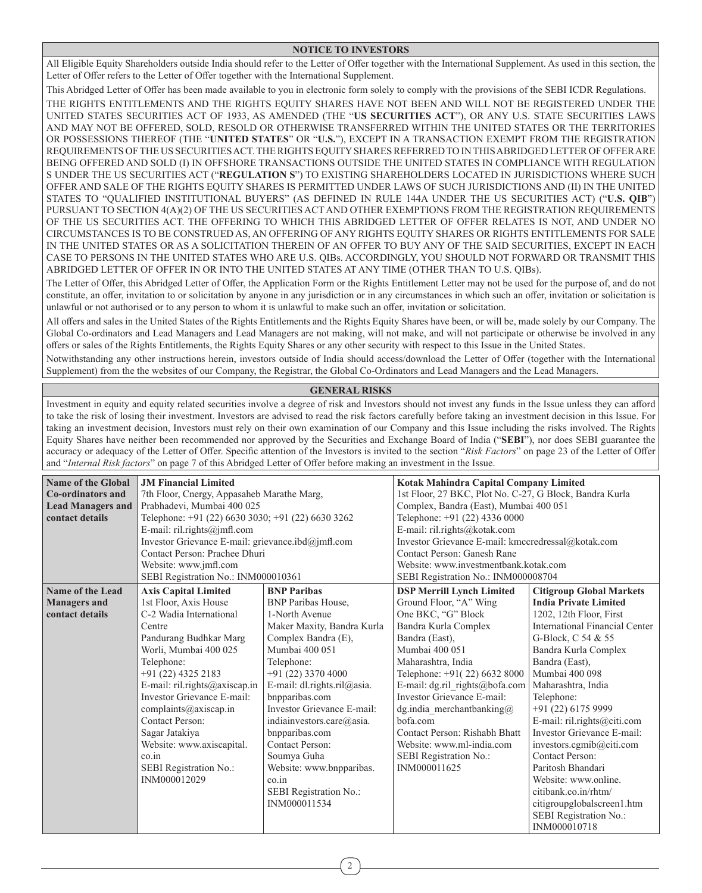### **NOTICE TO INVESTORS**

All Eligible Equity Shareholders outside India should refer to the Letter of Offer together with the International Supplement. As used in this section, the Letter of Offer refers to the Letter of Offer together with the International Supplement.

This Abridged Letter of Offer has been made available to you in electronic form solely to comply with the provisions of the SEBI ICDR Regulations. THE RIGHTS ENTITLEMENTS AND THE RIGHTS EQUITY SHARES HAVE NOT BEEN AND WILL NOT BE REGISTERED UNDER THE UNITED STATES SECURITIES ACT OF 1933, AS AMENDED (THE "**US SECURITIES ACT**"), OR ANY U.S. STATE SECURITIES LAWS AND MAY NOT BE OFFERED, SOLD, RESOLD OR OTHERWISE TRANSFERRED WITHIN THE UNITED STATES OR THE TERRITORIES OR POSSESSIONS THEREOF (THE "**UNITED STATES**" OR "**U.S.**"), EXCEPT IN A TRANSACTION EXEMPT FROM THE REGISTRATION REQUIREMENTS OF THE US SECURITIES ACT. THE RIGHTS EQUITY SHARES REFERRED TO IN THIS ABRIDGED LETTER OF OFFER ARE BEING OFFERED AND SOLD (I) IN OFFSHORE TRANSACTIONS OUTSIDE THE UNITED STATES IN COMPLIANCE WITH REGULATION S UNDER THE US SECURITIES ACT ("**REGULATION S**") TO EXISTING SHAREHOLDERS LOCATED IN JURISDICTIONS WHERE SUCH OFFER AND SALE OF THE RIGHTS EQUITY SHARES IS PERMITTED UNDER LAWS OF SUCH JURISDICTIONS AND (II) IN THE UNITED STATES TO "QUALIFIED INSTITUTIONAL BUYERS" (AS DEFINED IN RULE 144A UNDER THE US SECURITIES ACT) ("**U.S. QIB**") PURSUANT TO SECTION 4(A)(2) OF THE US SECURITIES ACT AND OTHER EXEMPTIONS FROM THE REGISTRATION REQUIREMENTS OF THE US SECURITIES ACT. THE OFFERING TO WHICH THIS ABRIDGED LETTER OF OFFER RELATES IS NOT, AND UNDER NO CIRCUMSTANCES IS TO BE CONSTRUED AS, AN OFFERING OF ANY RIGHTS EQUITY SHARES OR RIGHTS ENTITLEMENTS FOR SALE IN THE UNITED STATES OR AS A SOLICITATION THEREIN OF AN OFFER TO BUY ANY OF THE SAID SECURITIES, EXCEPT IN EACH CASE TO PERSONS IN THE UNITED STATES WHO ARE U.S. QIBs. ACCORDINGLY, YOU SHOULD NOT FORWARD OR TRANSMIT THIS ABRIDGED LETTER OF OFFER IN OR INTO THE UNITED STATES AT ANY TIME (OTHER THAN TO U.S. QIBs).

The Letter of Offer, this Abridged Letter of Offer, the Application Form or the Rights Entitlement Letter may not be used for the purpose of, and do not constitute, an offer, invitation to or solicitation by anyone in any jurisdiction or in any circumstances in which such an offer, invitation or solicitation is unlawful or not authorised or to any person to whom it is unlawful to make such an offer, invitation or solicitation.

All offers and sales in the United States of the Rights Entitlements and the Rights Equity Shares have been, or will be, made solely by our Company. The Global Co-ordinators and Lead Managers and Lead Managers are not making, will not make, and will not participate or otherwise be involved in any offers or sales of the Rights Entitlements, the Rights Equity Shares or any other security with respect to this Issue in the United States.

Notwithstanding any other instructions herein, investors outside of India should access/download the Letter of Offer (together with the International Supplement) from the the websites of our Company, the Registrar, the Global Co-Ordinators and Lead Managers and the Lead Managers.

# **GENERAL RISKS**

Investment in equity and equity related securities involve a degree of risk and Investors should not invest any funds in the Issue unless they can afford to take the risk of losing their investment. Investors are advised to read the risk factors carefully before taking an investment decision in this Issue. For taking an investment decision, Investors must rely on their own examination of our Company and this Issue including the risks involved. The Rights Equity Shares have neither been recommended nor approved by the Securities and Exchange Board of India ("**SEBI**"), nor does SEBI guarantee the accuracy or adequacy of the Letter of Offer. Specific attention of the Investors is invited to the section "*Risk Factors*" on page 23 of the Letter of Offer and "*Internal Risk factors*" on page 7 of this Abridged Letter of Offer before making an investment in the Issue.

|                            | <b>JM Financial Limited</b>                       |                             |                                                         |                                 |  |
|----------------------------|---------------------------------------------------|-----------------------------|---------------------------------------------------------|---------------------------------|--|
| <b>Name of the Global</b>  |                                                   |                             | <b>Kotak Mahindra Capital Company Limited</b>           |                                 |  |
| Co-ordinators and          | 7th Floor, Cnergy, Appasaheb Marathe Marg,        |                             | 1st Floor, 27 BKC, Plot No. C-27, G Block, Bandra Kurla |                                 |  |
| <b>Lead Managers and</b>   | Prabhadevi, Mumbai 400 025                        |                             | Complex, Bandra (East), Mumbai 400 051                  |                                 |  |
| contact details            | Telephone: +91 (22) 6630 3030; +91 (22) 6630 3262 |                             | Telephone: +91 (22) 4336 0000                           |                                 |  |
|                            | E-mail: ril.rights@jmfl.com                       |                             |                                                         | E-mail: ril.rights@kotak.com    |  |
|                            | Investor Grievance E-mail: grievance.ibd@jmfl.com |                             | Investor Grievance E-mail: kmccredressal@kotak.com      |                                 |  |
|                            | Contact Person: Prachee Dhuri                     |                             | Contact Person: Ganesh Rane                             |                                 |  |
|                            | Website: www.jmfl.com                             |                             | Website: www.investmentbank.kotak.com                   |                                 |  |
|                            | SEBI Registration No.: INM000010361               |                             | SEBI Registration No.: INM000008704                     |                                 |  |
| <b>Name of the Lead</b>    | <b>Axis Capital Limited</b>                       | <b>BNP Paribas</b>          | <b>DSP Merrill Lynch Limited</b>                        | <b>Citigroup Global Markets</b> |  |
| <b>Managers and</b>        | 1st Floor, Axis House                             | <b>BNP</b> Paribas House,   | Ground Floor, "A" Wing                                  | <b>India Private Limited</b>    |  |
| contact details            | C-2 Wadia International                           | 1-North Avenue              | One BKC, "G" Block                                      | 1202, 12th Floor, First         |  |
|                            | Centre                                            | Maker Maxity, Bandra Kurla  | Bandra Kurla Complex                                    | International Financial Center  |  |
|                            | Pandurang Budhkar Marg                            | Complex Bandra (E),         | Bandra (East),                                          | G-Block, C 54 & 55              |  |
| Worli, Mumbai 400 025      |                                                   | Mumbai 400 051              | Mumbai 400 051                                          | Bandra Kurla Complex            |  |
|                            | Telephone:                                        | Telephone:                  | Maharashtra, India                                      | Bandra (East),                  |  |
|                            | +91 (22) 4325 2183                                | +91 (22) 3370 4000          | Telephone: +91(22) 6632 8000                            | Mumbai 400 098                  |  |
|                            | E-mail: ril.rights@axiscap.in                     | E-mail: dl.rights.ril@asia. | E-mail: dg.ril rights@bofa.com                          | Maharashtra, India              |  |
| Investor Grievance E-mail: |                                                   | bnpparibas.com              | Investor Grievance E-mail:                              | Telephone:                      |  |
| complaints@axiscap.in      |                                                   | Investor Grievance E-mail:  | dg.india merchantbanking $@$                            | +91 (22) 6175 9999              |  |
|                            | Contact Person:                                   | indiainvestors.care@asia.   | bofa.com                                                | E-mail: ril.rights@citi.com     |  |
|                            | Sagar Jatakiya                                    | bnpparibas.com              | Contact Person: Rishabh Bhatt                           | Investor Grievance E-mail:      |  |
|                            | Website: www.axiscapital.                         | <b>Contact Person:</b>      | Website: www.ml-india.com                               | investors.cgmib@citi.com        |  |
| $\overline{\text{co.in}}$  |                                                   | Soumya Guha                 | SEBI Registration No.:                                  | Contact Person:                 |  |
|                            | SEBI Registration No.:                            | Website: www.bnpparibas.    | INM000011625                                            | Paritosh Bhandari               |  |
|                            | INM000012029                                      | $\overline{\text{co.in}}$   |                                                         | Website: www.online.            |  |
|                            |                                                   | SEBI Registration No.:      |                                                         | citibank.co.in/rhtm/            |  |
|                            |                                                   | INM000011534                |                                                         | citigroupglobalscreen1.htm      |  |
|                            |                                                   |                             |                                                         | SEBI Registration No.:          |  |
|                            |                                                   |                             |                                                         | INM000010718                    |  |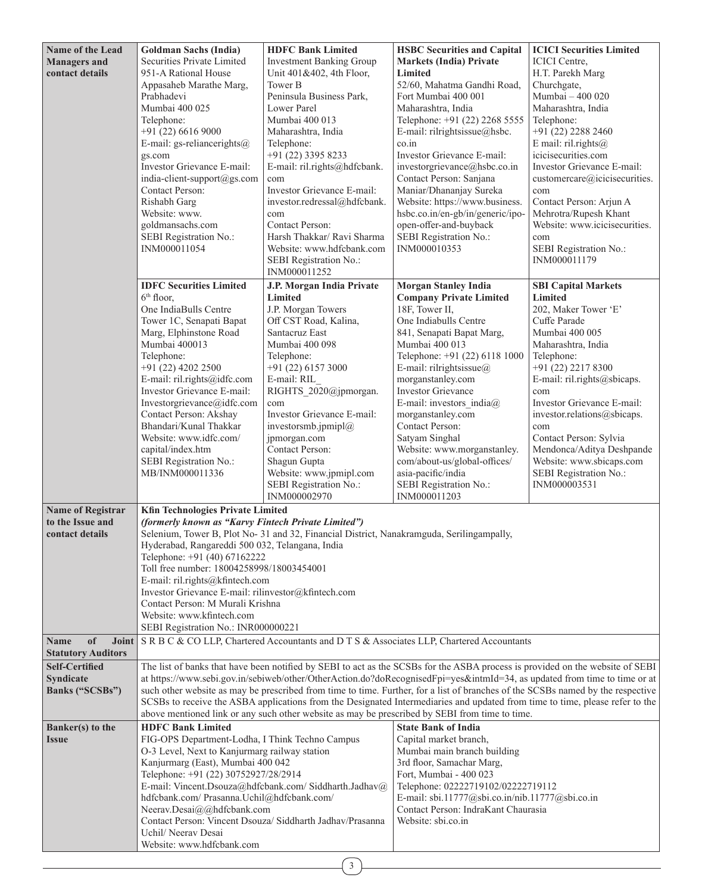| Name of the Lead          | <b>Goldman Sachs (India)</b>                                                           | <b>HDFC Bank Limited</b>                                                                  | <b>HSBC</b> Securities and Capital                                                                                              | <b>ICICI Securities Limited</b>                     |
|---------------------------|----------------------------------------------------------------------------------------|-------------------------------------------------------------------------------------------|---------------------------------------------------------------------------------------------------------------------------------|-----------------------------------------------------|
| <b>Managers</b> and       | Securities Private Limited                                                             | <b>Investment Banking Group</b>                                                           | <b>Markets (India) Private</b>                                                                                                  | ICICI Centre,                                       |
| contact details           | 951-A Rational House                                                                   | Unit 401&402, 4th Floor,                                                                  | Limited                                                                                                                         | H.T. Parekh Marg                                    |
|                           | Appasaheb Marathe Marg,                                                                | Tower B                                                                                   | 52/60, Mahatma Gandhi Road,                                                                                                     | Churchgate,                                         |
|                           | Prabhadevi                                                                             | Peninsula Business Park,                                                                  | Fort Mumbai 400 001                                                                                                             | Mumbai - 400 020                                    |
|                           | Mumbai 400 025                                                                         | Lower Parel                                                                               | Maharashtra, India                                                                                                              | Maharashtra, India                                  |
|                           | Telephone:                                                                             | Mumbai 400 013                                                                            | Telephone: +91 (22) 2268 5555                                                                                                   | Telephone:                                          |
|                           | $+91(22)66169000$                                                                      | Maharashtra, India                                                                        | E-mail: rilrightsissue@hsbc.                                                                                                    | $+91(22)$ 2288 2460                                 |
|                           | E-mail: gs-reliancerights $@$                                                          | Telephone:                                                                                | co.in                                                                                                                           | E mail: $ril.rights@$                               |
|                           | gs.com                                                                                 | +91 (22) 3395 8233                                                                        | Investor Grievance E-mail:                                                                                                      | icicisecurities.com                                 |
|                           | Investor Grievance E-mail:                                                             | E-mail: ril.rights@hdfcbank.                                                              | investorgrievance@hsbc.co.in                                                                                                    | Investor Grievance E-mail:                          |
|                           | india-client-support@gs.com                                                            | com                                                                                       | Contact Person: Sanjana                                                                                                         | customercare@icicisecurities.                       |
|                           | Contact Person:<br>Rishabh Garg                                                        | Investor Grievance E-mail:<br>investor.redressal@hdfcbank.                                | Maniar/Dhananjay Sureka<br>Website: https://www.business.                                                                       | com                                                 |
|                           | Website: www.                                                                          | com                                                                                       | hsbc.co.in/en-gb/in/generic/ipo-                                                                                                | Contact Person: Arjun A<br>Mehrotra/Rupesh Khant    |
|                           | goldmansachs.com                                                                       | Contact Person:                                                                           | open-offer-and-buyback                                                                                                          | Website: www.icicisecurities.                       |
|                           | SEBI Registration No.:                                                                 | Harsh Thakkar/ Ravi Sharma                                                                | SEBI Registration No.:                                                                                                          | com                                                 |
|                           | INM000011054                                                                           | Website: www.hdfcbank.com                                                                 | INM000010353                                                                                                                    | SEBI Registration No.:                              |
|                           |                                                                                        | SEBI Registration No.:                                                                    |                                                                                                                                 | INM000011179                                        |
|                           |                                                                                        | INM000011252                                                                              |                                                                                                                                 |                                                     |
|                           | <b>IDFC</b> Securities Limited                                                         | J.P. Morgan India Private                                                                 | <b>Morgan Stanley India</b>                                                                                                     | <b>SBI Capital Markets</b>                          |
|                           | 6 <sup>th</sup> floor.                                                                 | Limited                                                                                   | <b>Company Private Limited</b>                                                                                                  | Limited                                             |
|                           | One IndiaBulls Centre                                                                  | J.P. Morgan Towers                                                                        | 18F, Tower II,                                                                                                                  | 202, Maker Tower 'E'                                |
|                           | Tower 1C, Senapati Bapat                                                               | Off CST Road, Kalina,                                                                     | One Indiabulls Centre                                                                                                           | Cuffe Parade                                        |
|                           | Marg, Elphinstone Road                                                                 | Santacruz East                                                                            | 841, Senapati Bapat Marg,                                                                                                       | Mumbai 400 005                                      |
|                           | Mumbai 400013                                                                          | Mumbai 400 098                                                                            | Mumbai 400 013                                                                                                                  | Maharashtra, India                                  |
|                           | Telephone:                                                                             | Telephone:                                                                                | Telephone: +91 (22) 6118 1000                                                                                                   | Telephone:                                          |
|                           | +91 (22) 4202 2500                                                                     | $+91(22)61573000$                                                                         | E-mail: rilrightsissue $@$                                                                                                      | +91 (22) 2217 8300                                  |
|                           | E-mail: ril.rights@idfc.com                                                            | E-mail: RIL                                                                               | morganstanley.com                                                                                                               | E-mail: ril.rights@sbicaps.                         |
|                           | Investor Grievance E-mail:                                                             | RIGHTS 2020@jpmorgan.                                                                     | <b>Investor Grievance</b>                                                                                                       | com                                                 |
|                           | Investorgrievance@idfc.com                                                             | com                                                                                       | E-mail: investors $india@$                                                                                                      | Investor Grievance E-mail:                          |
|                           | Contact Person: Akshay                                                                 | Investor Grievance E-mail:                                                                | morganstanley.com                                                                                                               | investor.relations@sbicaps.                         |
|                           | Bhandari/Kunal Thakkar<br>Website: www.idfc.com/                                       | investorsmb.jpmipl $@$                                                                    | Contact Person:                                                                                                                 | com                                                 |
|                           | capital/index.htm                                                                      | jpmorgan.com<br><b>Contact Person:</b>                                                    | Satyam Singhal<br>Website: www.morganstanley.                                                                                   | Contact Person: Sylvia<br>Mendonca/Aditya Deshpande |
|                           | SEBI Registration No.:                                                                 | Shagun Gupta                                                                              | com/about-us/global-offices/                                                                                                    | Website: www.sbicaps.com                            |
|                           | MB/INM000011336                                                                        | Website: www.jpmipl.com                                                                   | asia-pacific/india                                                                                                              | SEBI Registration No.:                              |
|                           |                                                                                        | SEBI Registration No.:                                                                    | SEBI Registration No.:                                                                                                          | INM000003531                                        |
|                           |                                                                                        | INM000002970                                                                              | INM000011203                                                                                                                    |                                                     |
| <b>Name of Registrar</b>  | <b>Kfin Technologies Private Limited</b>                                               |                                                                                           |                                                                                                                                 |                                                     |
| to the Issue and          | (formerly known as "Karvy Fintech Private Limited")                                    |                                                                                           |                                                                                                                                 |                                                     |
| contact details           |                                                                                        | Selenium, Tower B, Plot No- 31 and 32, Financial District, Nanakramguda, Serilingampally, |                                                                                                                                 |                                                     |
|                           | Hyderabad, Rangareddi 500 032, Telangana, India                                        |                                                                                           |                                                                                                                                 |                                                     |
|                           | Telephone: +91 (40) 67162222                                                           |                                                                                           |                                                                                                                                 |                                                     |
|                           |                                                                                        | Toll free number: 18004258998/18003454001                                                 |                                                                                                                                 |                                                     |
|                           | E-mail: ril.rights@kfintech.com<br>Investor Grievance E-mail: rilinvestor@kfintech.com |                                                                                           |                                                                                                                                 |                                                     |
|                           | Contact Person: M Murali Krishna                                                       |                                                                                           |                                                                                                                                 |                                                     |
|                           | Website: www.kfintech.com                                                              |                                                                                           |                                                                                                                                 |                                                     |
|                           | SEBI Registration No.: INR000000221                                                    |                                                                                           |                                                                                                                                 |                                                     |
| of<br>Name<br>Joint       |                                                                                        |                                                                                           | S R B C & CO LLP, Chartered Accountants and D T S & Associates LLP, Chartered Accountants                                       |                                                     |
| <b>Statutory Auditors</b> |                                                                                        |                                                                                           |                                                                                                                                 |                                                     |
| <b>Self-Certified</b>     |                                                                                        |                                                                                           | The list of banks that have been notified by SEBI to act as the SCSBs for the ASBA process is provided on the website of SEBI   |                                                     |
| <b>Syndicate</b>          |                                                                                        |                                                                                           | at https://www.sebi.gov.in/sebiweb/other/OtherAction.do?doRecognisedFpi=yes&intmId=34, as updated from time to time or at       |                                                     |
| Banks ("SCSBs")           |                                                                                        |                                                                                           | such other website as may be prescribed from time to time. Further, for a list of branches of the SCSBs named by the respective |                                                     |
|                           |                                                                                        |                                                                                           | SCSBs to receive the ASBA applications from the Designated Intermediaries and updated from time to time, please refer to the    |                                                     |
|                           |                                                                                        |                                                                                           | above mentioned link or any such other website as may be prescribed by SEBI from time to time.                                  |                                                     |
| Banker(s) to the          | <b>HDFC Bank Limited</b>                                                               |                                                                                           | <b>State Bank of India</b>                                                                                                      |                                                     |
| <b>Issue</b>              | FIG-OPS Department-Lodha, I Think Techno Campus                                        |                                                                                           | Capital market branch,                                                                                                          |                                                     |
|                           | O-3 Level, Next to Kanjurmarg railway station                                          |                                                                                           | Mumbai main branch building                                                                                                     |                                                     |
|                           | Kanjurmarg (East), Mumbai 400 042                                                      |                                                                                           | 3rd floor, Samachar Marg,                                                                                                       |                                                     |
|                           | Telephone: +91 (22) 30752927/28/2914                                                   |                                                                                           | Fort, Mumbai - 400 023                                                                                                          |                                                     |
|                           |                                                                                        | E-mail: Vincent.Dsouza@hdfcbank.com/ Siddharth.Jadhav@                                    | Telephone: 02222719102/02222719112                                                                                              |                                                     |
|                           | hdfcbank.com/ Prasanna.Uchil@hdfcbank.com/                                             |                                                                                           | E-mail: sbi.11777@sbi.co.in/nib.11777@sbi.co.in                                                                                 |                                                     |
|                           | Neerav.Desai@@hdfcbank.com                                                             | Contact Person: Vincent Dsouza/ Siddharth Jadhav/Prasanna                                 | Contact Person: IndraKant Chaurasia<br>Website: sbi.co.in                                                                       |                                                     |
|                           | Uchil/ Neerav Desai                                                                    |                                                                                           |                                                                                                                                 |                                                     |
|                           | Website: www.hdfcbank.com                                                              |                                                                                           |                                                                                                                                 |                                                     |
|                           |                                                                                        |                                                                                           |                                                                                                                                 |                                                     |

 $\left[3\right]$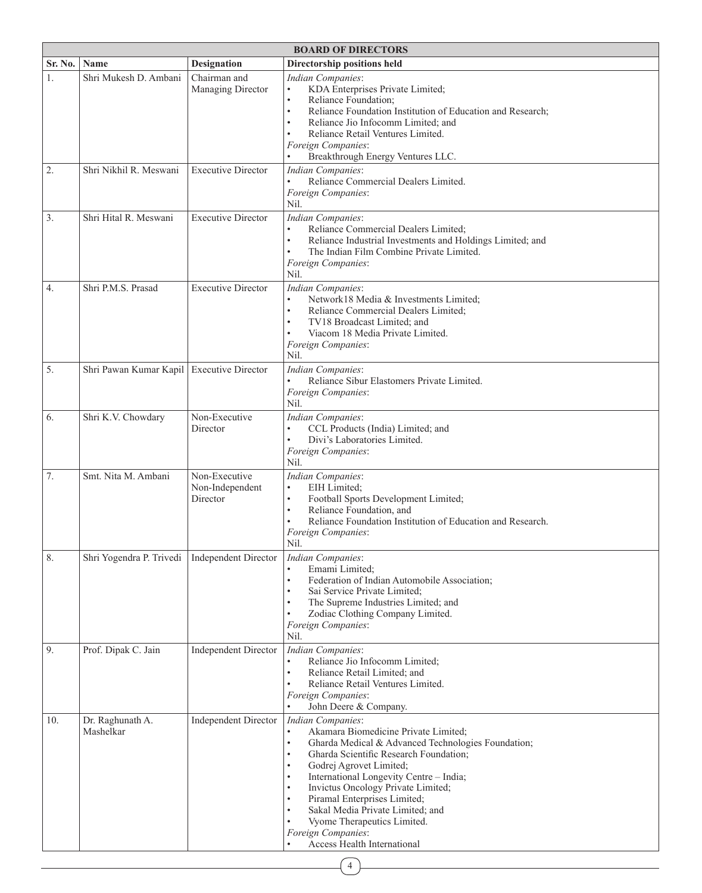|         | <b>BOARD OF DIRECTORS</b>                       |                                              |                                                                                                                                                                                                                                                                                                                                                                                                                                                                     |  |  |
|---------|-------------------------------------------------|----------------------------------------------|---------------------------------------------------------------------------------------------------------------------------------------------------------------------------------------------------------------------------------------------------------------------------------------------------------------------------------------------------------------------------------------------------------------------------------------------------------------------|--|--|
| Sr. No. | Name                                            | <b>Designation</b>                           | Directorship positions held                                                                                                                                                                                                                                                                                                                                                                                                                                         |  |  |
| 1.      | Shri Mukesh D. Ambani                           | Chairman and<br>Managing Director            | <b>Indian Companies:</b><br>KDA Enterprises Private Limited;<br>$\bullet$<br>Reliance Foundation;<br>$\bullet$<br>$\bullet$<br>Reliance Foundation Institution of Education and Research;<br>Reliance Jio Infocomm Limited; and<br>Reliance Retail Ventures Limited.<br>Foreign Companies:<br>Breakthrough Energy Ventures LLC.                                                                                                                                     |  |  |
| 2.      | Shri Nikhil R. Meswani                          | <b>Executive Director</b>                    | Indian Companies:<br>Reliance Commercial Dealers Limited.<br>$\bullet$<br>Foreign Companies:<br>Nil.                                                                                                                                                                                                                                                                                                                                                                |  |  |
| 3.      | Shri Hital R. Meswani                           | <b>Executive Director</b>                    | Indian Companies:<br>Reliance Commercial Dealers Limited;<br>$\bullet$<br>Reliance Industrial Investments and Holdings Limited; and<br>The Indian Film Combine Private Limited.<br>Foreign Companies:<br>Nil.                                                                                                                                                                                                                                                       |  |  |
| 4.      | Shri P.M.S. Prasad                              | <b>Executive Director</b>                    | Indian Companies:<br>Network18 Media & Investments Limited;<br>Reliance Commercial Dealers Limited;<br>$\bullet$<br>TV18 Broadcast Limited: and<br>Viacom 18 Media Private Limited.<br>Foreign Companies:<br>Nil.                                                                                                                                                                                                                                                   |  |  |
| 5.      | Shri Pawan Kumar Kapil   Executive Director     |                                              | Indian Companies:<br>Reliance Sibur Elastomers Private Limited.<br>Foreign Companies:<br>Nil.                                                                                                                                                                                                                                                                                                                                                                       |  |  |
| 6.      | Shri K.V. Chowdary                              | Non-Executive<br>Director                    | Indian Companies:<br>CCL Products (India) Limited; and<br>$\bullet$<br>Divi's Laboratories Limited.<br>Foreign Companies:<br>Nil.                                                                                                                                                                                                                                                                                                                                   |  |  |
| 7.      | Smt. Nita M. Ambani                             | Non-Executive<br>Non-Independent<br>Director | Indian Companies:<br>EIH Limited;<br>Football Sports Development Limited;<br>$\bullet$<br>Reliance Foundation, and<br>$\bullet$<br>Reliance Foundation Institution of Education and Research.<br>Foreign Companies:<br>Nil.                                                                                                                                                                                                                                         |  |  |
| 8.      | Shri Yogendra P. Trivedi   Independent Director |                                              | Indian Companies:<br>Emami Limited;<br>Federation of Indian Automobile Association;<br>Sai Service Private Limited;<br>The Supreme Industries Limited; and<br>Zodiac Clothing Company Limited.<br>Foreign Companies:<br>Nil.                                                                                                                                                                                                                                        |  |  |
| 9.      | Prof. Dipak C. Jain                             | <b>Independent Director</b>                  | Indian Companies:<br>Reliance Jio Infocomm Limited;<br>Reliance Retail Limited; and<br>$\bullet$<br>Reliance Retail Ventures Limited.<br>Foreign Companies:<br>John Deere & Company.                                                                                                                                                                                                                                                                                |  |  |
| 10.     | Dr. Raghunath A.<br>Mashelkar                   | <b>Independent Director</b>                  | <b>Indian Companies:</b><br>Akamara Biomedicine Private Limited;<br>Gharda Medical & Advanced Technologies Foundation;<br>$\bullet$<br>Gharda Scientific Research Foundation;<br>$\bullet$<br>Godrej Agrovet Limited;<br>International Longevity Centre - India;<br>٠<br>Invictus Oncology Private Limited;<br>Piramal Enterprises Limited;<br>Sakal Media Private Limited; and<br>Vyome Therapeutics Limited.<br>Foreign Companies:<br>Access Health International |  |  |

4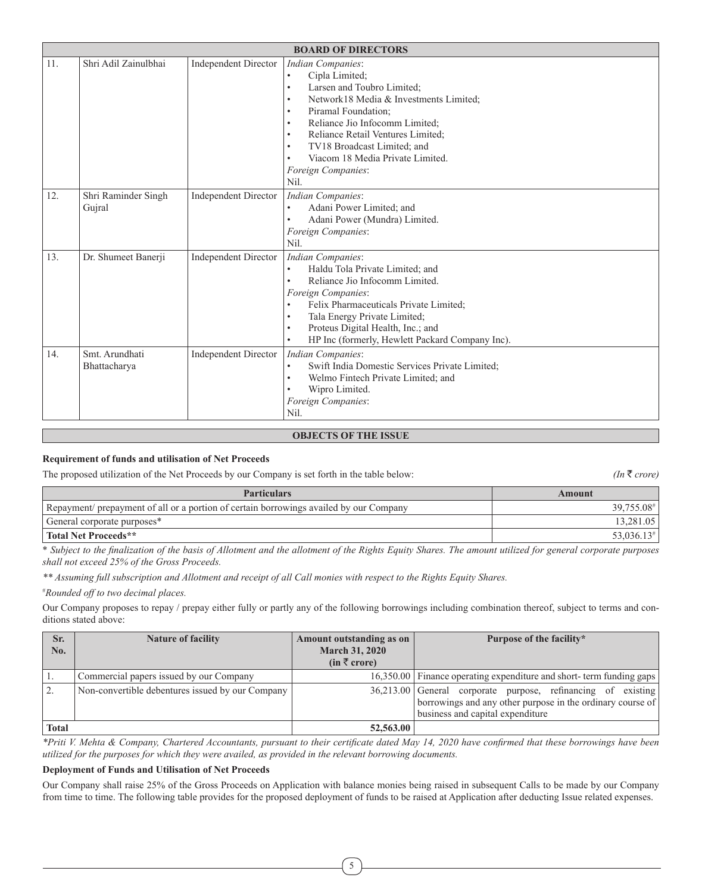|     | <b>BOARD OF DIRECTORS</b>      |                             |                                                                                                                                                                                                                                                                                                                                                                                                                           |  |
|-----|--------------------------------|-----------------------------|---------------------------------------------------------------------------------------------------------------------------------------------------------------------------------------------------------------------------------------------------------------------------------------------------------------------------------------------------------------------------------------------------------------------------|--|
| 11. | Shri Adil Zainulbhai           | <b>Independent Director</b> | <b>Indian Companies:</b><br>Cipla Limited;<br>$\bullet$<br>Larsen and Toubro Limited;<br>$\bullet$<br>Network18 Media & Investments Limited;<br>$\bullet$<br>Piramal Foundation;<br>$\bullet$<br>Reliance Jio Infocomm Limited;<br>$\bullet$<br>Reliance Retail Ventures Limited:<br>$\bullet$<br>TV18 Broadcast Limited; and<br>$\bullet$<br>Viacom 18 Media Private Limited.<br>$\bullet$<br>Foreign Companies:<br>Nil. |  |
| 12. | Shri Raminder Singh<br>Gujral  | <b>Independent Director</b> | Indian Companies:<br>Adani Power Limited; and<br>$\bullet$<br>Adani Power (Mundra) Limited.<br>$\bullet$<br>Foreign Companies:<br>Nil.                                                                                                                                                                                                                                                                                    |  |
| 13. | Dr. Shumeet Banerji            | <b>Independent Director</b> | Indian Companies:<br>Haldu Tola Private Limited; and<br>$\bullet$<br>Reliance Jio Infocomm Limited.<br>$\bullet$<br>Foreign Companies:<br>Felix Pharmaceuticals Private Limited;<br>$\bullet$<br>Tala Energy Private Limited;<br>$\bullet$<br>Proteus Digital Health, Inc.; and<br>$\bullet$<br>HP Inc (formerly, Hewlett Packard Company Inc).                                                                           |  |
| 14. | Smt. Arundhati<br>Bhattacharya | <b>Independent Director</b> | <b>Indian Companies:</b><br>Swift India Domestic Services Private Limited:<br>$\bullet$<br>Welmo Fintech Private Limited; and<br>$\bullet$<br>Wipro Limited.<br>$\bullet$<br>Foreign Companies:<br>Nil.                                                                                                                                                                                                                   |  |

# **OBJECTS OF THE ISSUE**

# **Requirement of funds and utilisation of Net Proceeds**

The proposed utilization of the Net Proceeds by our Company is set forth in the table below: *(In*  $\overline{\tau}$  *crore)* 

| <b>Particulars</b>                                                                     | Amount                   |
|----------------------------------------------------------------------------------------|--------------------------|
| Repayment/ prepayment of all or a portion of certain borrowings availed by our Company | 39,755.08#               |
| General corporate purposes*                                                            | 13,281.05                |
| Total Net Proceeds**                                                                   | $53,036.13$ <sup>#</sup> |

\* *Subject to the finalization of the basis of Allotment and the allotment of the Rights Equity Shares. The amount utilized for general corporate purposes shall not exceed 25% of the Gross Proceeds.*

*\*\* Assuming full subscription and Allotment and receipt of all Call monies with respect to the Rights Equity Shares.*

# *Rounded off to two decimal places.*

Our Company proposes to repay / prepay either fully or partly any of the following borrowings including combination thereof, subject to terms and conditions stated above:

| Sr.          | <b>Nature of facility</b>                        | Amount outstanding as on | Purpose of the facility*                                            |
|--------------|--------------------------------------------------|--------------------------|---------------------------------------------------------------------|
| No.          |                                                  | <b>March 31, 2020</b>    |                                                                     |
|              |                                                  | $(in \bar{z}$ crore)     |                                                                     |
|              | Commercial papers issued by our Company          |                          | 16,350.00 Finance operating expenditure and short-term funding gaps |
|              | Non-convertible debentures issued by our Company |                          | 36,213.00 General corporate purpose, refinancing of existing        |
|              |                                                  |                          | borrowings and any other purpose in the ordinary course of          |
|              |                                                  |                          | business and capital expenditure                                    |
| <b>Total</b> |                                                  | 52,563.00                |                                                                     |

*\*Priti V. Mehta & Company, Chartered Accountants, pursuant to their certificate dated May 14, 2020 have confirmed that these borrowings have been utilized for the purposes for which they were availed, as provided in the relevant borrowing documents.*

### **Deployment of Funds and Utilisation of Net Proceeds**

Our Company shall raise 25% of the Gross Proceeds on Application with balance monies being raised in subsequent Calls to be made by our Company from time to time. The following table provides for the proposed deployment of funds to be raised at Application after deducting Issue related expenses.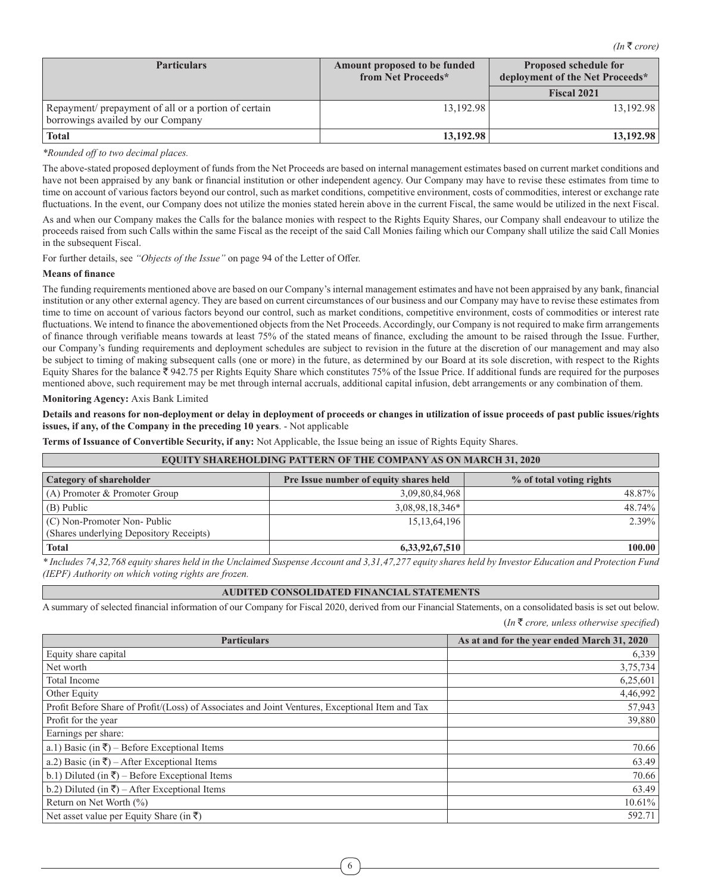| <b>Particulars</b>                                                                        | Amount proposed to be funded<br>from Net Proceeds* | <b>Proposed schedule for</b><br>deployment of the Net Proceeds* |  |
|-------------------------------------------------------------------------------------------|----------------------------------------------------|-----------------------------------------------------------------|--|
|                                                                                           |                                                    | <b>Fiscal 2021</b>                                              |  |
| Repayment/ prepayment of all or a portion of certain<br>borrowings availed by our Company | 13.192.98                                          | 13.192.98                                                       |  |
| <b>Total</b>                                                                              | 13,192.98                                          | 13.192.98                                                       |  |

*\*Rounded off to two decimal places.*

The above-stated proposed deployment of funds from the Net Proceeds are based on internal management estimates based on current market conditions and have not been appraised by any bank or financial institution or other independent agency. Our Company may have to revise these estimates from time to time on account of various factors beyond our control, such as market conditions, competitive environment, costs of commodities, interest or exchange rate fluctuations. In the event, our Company does not utilize the monies stated herein above in the current Fiscal, the same would be utilized in the next Fiscal.

As and when our Company makes the Calls for the balance monies with respect to the Rights Equity Shares, our Company shall endeavour to utilize the proceeds raised from such Calls within the same Fiscal as the receipt of the said Call Monies failing which our Company shall utilize the said Call Monies in the subsequent Fiscal.

For further details, see *"Objects of the Issue"* on page 94 of the Letter of Offer.

#### **Means of finance**

The funding requirements mentioned above are based on our Company's internal management estimates and have not been appraised by any bank, financial institution or any other external agency. They are based on current circumstances of our business and our Company may have to revise these estimates from time to time on account of various factors beyond our control, such as market conditions, competitive environment, costs of commodities or interest rate fluctuations. We intend to finance the abovementioned objects from the Net Proceeds. Accordingly, our Company is not required to make firm arrangements of finance through verifiable means towards at least 75% of the stated means of finance, excluding the amount to be raised through the Issue. Further, our Company's funding requirements and deployment schedules are subject to revision in the future at the discretion of our management and may also be subject to timing of making subsequent calls (one or more) in the future, as determined by our Board at its sole discretion, with respect to the Rights Equity Shares for the balance  $\bar{\tau}$  942.75 per Rights Equity Share which constitutes 75% of the Issue Price. If additional funds are required for the purposes mentioned above, such requirement may be met through internal accruals, additional capital infusion, debt arrangements or any combination of them.

#### **Monitoring Agency:** Axis Bank Limited

**Details and reasons for non-deployment or delay in deployment of proceeds or changes in utilization of issue proceeds of past public issues/rights issues, if any, of the Company in the preceding 10 years**. - Not applicable

**Terms of Issuance of Convertible Security, if any:** Not Applicable, the Issue being an issue of Rights Equity Shares.

| <b>EQUITY SHAREHOLDING PATTERN OF THE COMPANY AS ON MARCH 31, 2020</b>                                                                               |                 |          |  |  |  |
|------------------------------------------------------------------------------------------------------------------------------------------------------|-----------------|----------|--|--|--|
| <b>Category of shareholder</b><br>Pre Issue number of equity shares held<br>% of total voting rights                                                 |                 |          |  |  |  |
| $(A)$ Promoter & Promoter Group                                                                                                                      | 3,09,80,84,968  | 48.87%   |  |  |  |
| $(B)$ Public                                                                                                                                         | 3,08,98,18,346* | 48.74%   |  |  |  |
| $(C)$ Non-Promoter Non-Public                                                                                                                        | 15, 13, 64, 196 | $2.39\%$ |  |  |  |
| (Shares underlying Depository Receipts)                                                                                                              |                 |          |  |  |  |
| <b>Total</b>                                                                                                                                         | 6,33,92,67,510  | 100.00   |  |  |  |
| *Includes 74.32.768 equity shares hold in the Unclaimed Systems Account and 3.31.47.277 equity shares hold by Investor Education and Protection Fund |                 |          |  |  |  |

*\* Includes 74,32,768 equity shares held in the Unclaimed Suspense Account and 3,31,47,277 equity shares held by Investor Education and Protection Fund (IEPF) Authority on which voting rights are frozen.*

# **AUDITED CONSOLIDATED FINANCIAL STATEMENTS**

A summary of selected financial information of our Company for Fiscal 2020, derived from our Financial Statements, on a consolidated basis is set out below. (*In* ` *crore, unless otherwise specified*)

| <b>Particulars</b>                                                                              | As at and for the year ended March 31, 2020 |
|-------------------------------------------------------------------------------------------------|---------------------------------------------|
| Equity share capital                                                                            | 6,339                                       |
| Net worth                                                                                       | 3,75,734                                    |
| Total Income                                                                                    | 6,25,601                                    |
| Other Equity                                                                                    | 4,46,992                                    |
| Profit Before Share of Profit/(Loss) of Associates and Joint Ventures, Exceptional Item and Tax | 57,943                                      |
| Profit for the year                                                                             | 39,880                                      |
| Earnings per share:                                                                             |                                             |
| a.1) Basic (in $\bar{\zeta}$ ) – Before Exceptional Items                                       | 70.66                                       |
| a.2) Basic (in $\overline{\xi}$ ) – After Exceptional Items                                     | 63.49                                       |
| b.1) Diluted (in $\overline{\xi}$ ) – Before Exceptional Items                                  | 70.66                                       |
| b.2) Diluted (in $\overline{\xi}$ ) – After Exceptional Items                                   | 63.49                                       |
| Return on Net Worth $(\% )$                                                                     | 10.61%                                      |
| Net asset value per Equity Share (in ₹)                                                         | 592.71                                      |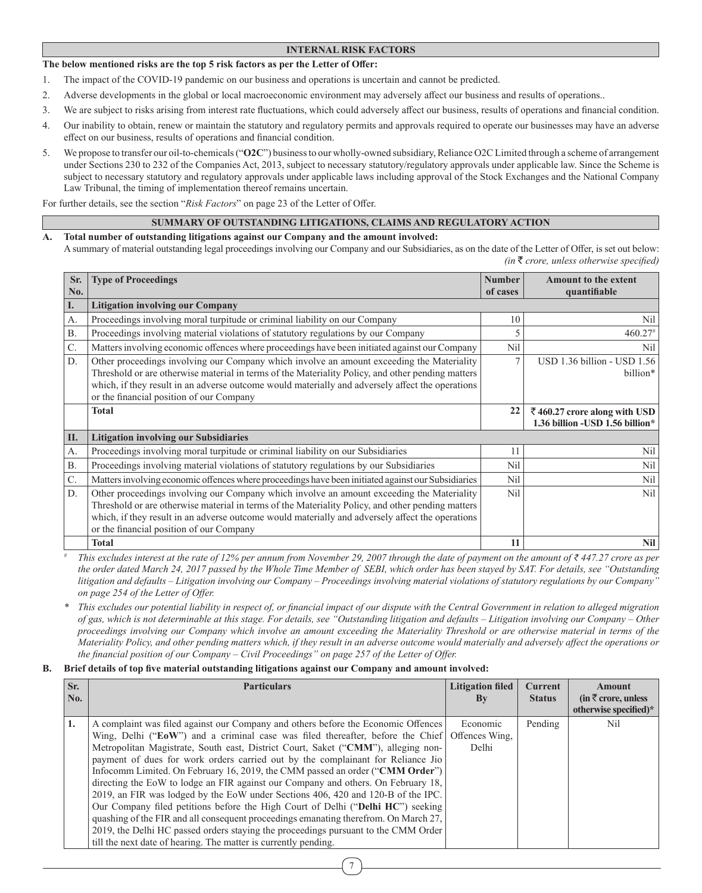# **INTERNAL RISK FACTORS**

### **The below mentioned risks are the top 5 risk factors as per the Letter of Offer:**

- 1. The impact of the COVID-19 pandemic on our business and operations is uncertain and cannot be predicted.
- 2. Adverse developments in the global or local macroeconomic environment may adversely affect our business and results of operations..
- 3. We are subject to risks arising from interest rate fluctuations, which could adversely affect our business, results of operations and financial condition.
- 4. Our inability to obtain, renew or maintain the statutory and regulatory permits and approvals required to operate our businesses may have an adverse effect on our business, results of operations and financial condition.
- 5. We propose to transfer our oil-to-chemicals ("**O2C**") business to our wholly-owned subsidiary, Reliance O2C Limited through a scheme of arrangement under Sections 230 to 232 of the Companies Act, 2013, subject to necessary statutory/regulatory approvals under applicable law. Since the Scheme is subject to necessary statutory and regulatory approvals under applicable laws including approval of the Stock Exchanges and the National Company Law Tribunal, the timing of implementation thereof remains uncertain.

For further details, see the section "*Risk Factors*" on page 23 of the Letter of Offer.

### **SUMMARY OF OUTSTANDING LITIGATIONS, CLAIMS AND REGULATORY ACTION**

- **A. Total number of outstanding litigations against our Company and the amount involved:** 
	- A summary of material outstanding legal proceedings involving our Company and our Subsidiaries, as on the date of the Letter of Offer, is set out below: *(in* ` *crore, unless otherwise specified)*

| Sr.<br>No.      | <b>Type of Proceedings</b>                                                                                                                                                                                                                                                                                                                     | <b>Number</b><br>of cases | <b>Amount to the extent</b><br>quantifiable                      |
|-----------------|------------------------------------------------------------------------------------------------------------------------------------------------------------------------------------------------------------------------------------------------------------------------------------------------------------------------------------------------|---------------------------|------------------------------------------------------------------|
| I.              | <b>Litigation involving our Company</b>                                                                                                                                                                                                                                                                                                        |                           |                                                                  |
| А.              | Proceedings involving moral turpitude or criminal liability on our Company                                                                                                                                                                                                                                                                     | 10                        | Nil                                                              |
| <b>B.</b>       | Proceedings involving material violations of statutory regulations by our Company                                                                                                                                                                                                                                                              | 5                         | $460.27$ <sup>#</sup>                                            |
| $\mathcal{C}$ . | Matters involving economic offences where proceedings have been initiated against our Company                                                                                                                                                                                                                                                  | Nil                       | Nil                                                              |
| D.              | Other proceedings involving our Company which involve an amount exceeding the Materiality<br>Threshold or are otherwise material in terms of the Materiality Policy, and other pending matters<br>which, if they result in an adverse outcome would materially and adversely affect the operations<br>or the financial position of our Company | $\tau$                    | USD 1.36 billion - USD 1.56<br>billion*                          |
|                 | <b>Total</b>                                                                                                                                                                                                                                                                                                                                   | 22                        | ₹460.27 crore along with USD<br>1.36 billion - USD 1.56 billion* |
| II.             | <b>Litigation involving our Subsidiaries</b>                                                                                                                                                                                                                                                                                                   |                           |                                                                  |
| А.              | Proceedings involving moral turpitude or criminal liability on our Subsidiaries                                                                                                                                                                                                                                                                | 11                        | Nil                                                              |
| <b>B.</b>       | Proceedings involving material violations of statutory regulations by our Subsidiaries                                                                                                                                                                                                                                                         | Nil                       | Nil                                                              |
| C.              | Matters involving economic offences where proceedings have been initiated against our Subsidiaries                                                                                                                                                                                                                                             | Nil                       | Nil                                                              |
| D.              | Other proceedings involving our Company which involve an amount exceeding the Materiality<br>Threshold or are otherwise material in terms of the Materiality Policy, and other pending matters<br>which, if they result in an adverse outcome would materially and adversely affect the operations<br>or the financial position of our Company | N <sub>i</sub> l          | Nil                                                              |
|                 | <b>Total</b>                                                                                                                                                                                                                                                                                                                                   | 11                        | <b>Nil</b>                                                       |

*This excludes interest at the rate of 12% per annum from November 29, 2007 through the date of payment on the amount of*  $\bar{\ell}$  *447.27 crore as per the order dated March 24, 2017 passed by the Whole Time Member of SEBI, which order has been stayed by SAT. For details, see "Outstanding litigation and defaults – Litigation involving our Company – Proceedings involving material violations of statutory regulations by our Company" on page 254 of the Letter of Offer.*

*\* This excludes our potential liability in respect of, or financial impact of our dispute with the Central Government in relation to alleged migration of gas, which is not determinable at this stage. For details, see "Outstanding litigation and defaults – Litigation involving our Company – Other proceedings involving our Company which involve an amount exceeding the Materiality Threshold or are otherwise material in terms of the Materiality Policy, and other pending matters which, if they result in an adverse outcome would materially and adversely affect the operations or the financial position of our Company – Civil Proceedings" on page 257 of the Letter of Offer.*

#### **B. Brief details of top five material outstanding litigations against our Company and amount involved:**

| Sr. | <b>Particulars</b>                                                                   | <b>Litigation filed</b> | <b>Current</b> | <b>Amount</b>                                            |
|-----|--------------------------------------------------------------------------------------|-------------------------|----------------|----------------------------------------------------------|
| No. |                                                                                      | $\mathbf{B}\mathbf{v}$  | <b>Status</b>  | $(in \bar{\tau})$ crore, unless<br>otherwise specified)* |
| 1.  | A complaint was filed against our Company and others before the Economic Offences    | Economic                | Pending        | Nil                                                      |
|     | Wing, Delhi ("EoW") and a criminal case was filed thereafter, before the Chief       | Offences Wing.          |                |                                                          |
|     | Metropolitan Magistrate, South east, District Court, Saket ("CMM"), alleging non-    | Delhi                   |                |                                                          |
|     | payment of dues for work orders carried out by the complainant for Reliance Jio      |                         |                |                                                          |
|     | Informal Limited. On February 16, 2019, the CMM passed an order ("CMM Order")        |                         |                |                                                          |
|     | directing the EoW to lodge an FIR against our Company and others. On February 18,    |                         |                |                                                          |
|     | 2019, an FIR was lodged by the EoW under Sections 406, 420 and 120-B of the IPC.     |                         |                |                                                          |
|     | Our Company filed petitions before the High Court of Delhi ("Delhi HC") seeking      |                         |                |                                                          |
|     | quashing of the FIR and all consequent proceedings emanating therefrom. On March 27, |                         |                |                                                          |
|     | 2019, the Delhi HC passed orders staying the proceedings pursuant to the CMM Order   |                         |                |                                                          |
|     | till the next date of hearing. The matter is currently pending.                      |                         |                |                                                          |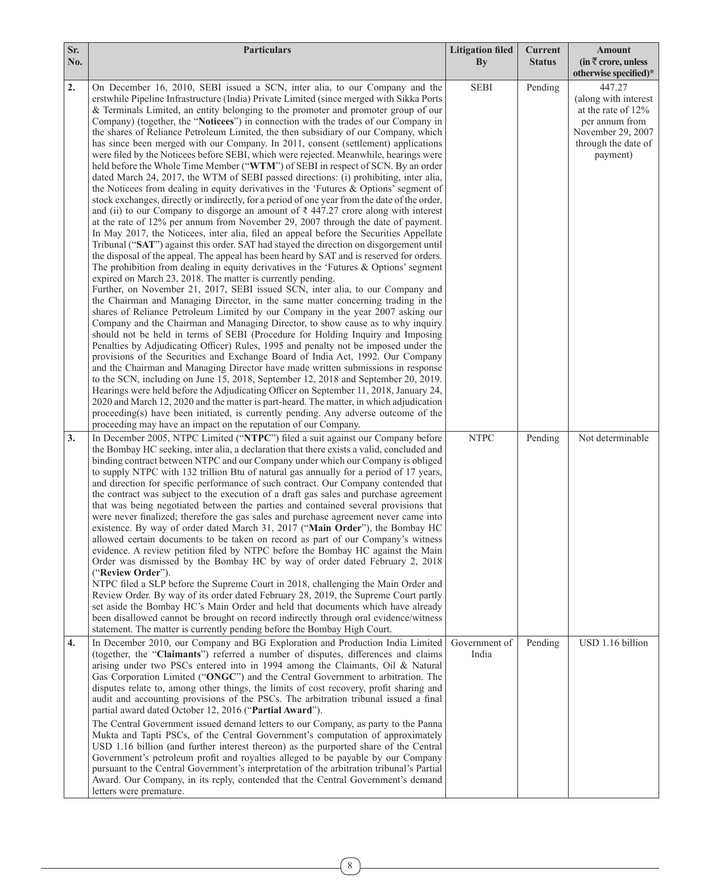| Sr.<br>No. | <b>Particulars</b>                                                                                                                                                                                                                                                                                                                                                                                                                                                                                                                                                                                                                                                                                                                                                                                                                                                                                                                                                                                                                                                                                                                                                                                                                                                                                                                                                                                                                                                                                                                                                                                                                                                                                                                                                                                                                                                                                                                                                                                                                                                                                                                                                                                                                                                                                                                                                                                                                                                                                                                                                                                                                                                                                                                                                   | <b>Litigation filed</b><br>$\mathbf{B}\mathbf{v}$ | <b>Current</b><br><b>Status</b> | <b>Amount</b><br>(in $\bar{\tau}$ crore, unless                                                                                |
|------------|----------------------------------------------------------------------------------------------------------------------------------------------------------------------------------------------------------------------------------------------------------------------------------------------------------------------------------------------------------------------------------------------------------------------------------------------------------------------------------------------------------------------------------------------------------------------------------------------------------------------------------------------------------------------------------------------------------------------------------------------------------------------------------------------------------------------------------------------------------------------------------------------------------------------------------------------------------------------------------------------------------------------------------------------------------------------------------------------------------------------------------------------------------------------------------------------------------------------------------------------------------------------------------------------------------------------------------------------------------------------------------------------------------------------------------------------------------------------------------------------------------------------------------------------------------------------------------------------------------------------------------------------------------------------------------------------------------------------------------------------------------------------------------------------------------------------------------------------------------------------------------------------------------------------------------------------------------------------------------------------------------------------------------------------------------------------------------------------------------------------------------------------------------------------------------------------------------------------------------------------------------------------------------------------------------------------------------------------------------------------------------------------------------------------------------------------------------------------------------------------------------------------------------------------------------------------------------------------------------------------------------------------------------------------------------------------------------------------------------------------------------------------|---------------------------------------------------|---------------------------------|--------------------------------------------------------------------------------------------------------------------------------|
|            |                                                                                                                                                                                                                                                                                                                                                                                                                                                                                                                                                                                                                                                                                                                                                                                                                                                                                                                                                                                                                                                                                                                                                                                                                                                                                                                                                                                                                                                                                                                                                                                                                                                                                                                                                                                                                                                                                                                                                                                                                                                                                                                                                                                                                                                                                                                                                                                                                                                                                                                                                                                                                                                                                                                                                                      |                                                   |                                 | otherwise specified)*                                                                                                          |
| 2.         | On December 16, 2010, SEBI issued a SCN, inter alia, to our Company and the<br>erstwhile Pipeline Infrastructure (India) Private Limited (since merged with Sikka Ports<br>& Terminals Limited, an entity belonging to the promoter and promoter group of our<br>Company) (together, the "Noticees") in connection with the trades of our Company in<br>the shares of Reliance Petroleum Limited, the then subsidiary of our Company, which<br>has since been merged with our Company. In 2011, consent (settlement) applications<br>were filed by the Noticees before SEBI, which were rejected. Meanwhile, hearings were<br>held before the Whole Time Member ("WTM") of SEBI in respect of SCN. By an order<br>dated March 24, 2017, the WTM of SEBI passed directions: (i) prohibiting, inter alia,<br>the Noticees from dealing in equity derivatives in the 'Futures & Options' segment of<br>stock exchanges, directly or indirectly, for a period of one year from the date of the order,<br>and (ii) to our Company to disgorge an amount of $\bar{\tau}$ 447.27 crore along with interest<br>at the rate of 12% per annum from November 29, 2007 through the date of payment.<br>In May 2017, the Noticees, inter alia, filed an appeal before the Securities Appellate<br>Tribunal ("SAT") against this order. SAT had stayed the direction on disgorgement until<br>the disposal of the appeal. The appeal has been heard by SAT and is reserved for orders.<br>The prohibition from dealing in equity derivatives in the 'Futures $\&$ Options' segment<br>expired on March 23, 2018. The matter is currently pending.<br>Further, on November 21, 2017, SEBI issued SCN, inter alia, to our Company and<br>the Chairman and Managing Director, in the same matter concerning trading in the<br>shares of Reliance Petroleum Limited by our Company in the year 2007 asking our<br>Company and the Chairman and Managing Director, to show cause as to why inquiry<br>should not be held in terms of SEBI (Procedure for Holding Inquiry and Imposing<br>Penalties by Adjudicating Officer) Rules, 1995 and penalty not be imposed under the<br>provisions of the Securities and Exchange Board of India Act, 1992. Our Company<br>and the Chairman and Managing Director have made written submissions in response<br>to the SCN, including on June 15, 2018, September 12, 2018 and September 20, 2019.<br>Hearings were held before the Adjudicating Officer on September 11, 2018, January 24,<br>2020 and March 12, 2020 and the matter is part-heard. The matter, in which adjudication<br>proceeding(s) have been initiated, is currently pending. Any adverse outcome of the<br>proceeding may have an impact on the reputation of our Company. | <b>SEBI</b>                                       | Pending                         | 447.27<br>(along with interest<br>at the rate of 12%<br>per annum from<br>November 29, 2007<br>through the date of<br>payment) |
| 3.         | In December 2005, NTPC Limited ("NTPC") filed a suit against our Company before<br>the Bombay HC seeking, inter alia, a declaration that there exists a valid, concluded and<br>binding contract between NTPC and our Company under which our Company is obliged<br>to supply NTPC with 132 trillion Btu of natural gas annually for a period of 17 years,<br>and direction for specific performance of such contract. Our Company contended that<br>the contract was subject to the execution of a draft gas sales and purchase agreement<br>that was being negotiated between the parties and contained several provisions that<br>were never finalized; therefore the gas sales and purchase agreement never came into<br>existence. By way of order dated March 31, 2017 ("Main Order"), the Bombay HC<br>allowed certain documents to be taken on record as part of our Company's witness<br>evidence. A review petition filed by NTPC before the Bombay HC against the Main<br>Order was dismissed by the Bombay HC by way of order dated February 2, 2018<br>("Review Order").<br>NTPC filed a SLP before the Supreme Court in 2018, challenging the Main Order and<br>Review Order. By way of its order dated February 28, 2019, the Supreme Court partly<br>set aside the Bombay HC's Main Order and held that documents which have already<br>been disallowed cannot be brought on record indirectly through oral evidence/witness<br>statement. The matter is currently pending before the Bombay High Court.                                                                                                                                                                                                                                                                                                                                                                                                                                                                                                                                                                                                                                                                                                                                                                                                                                                                                                                                                                                                                                                                                                                                                                                                                                             | <b>NTPC</b>                                       | Pending                         | Not determinable                                                                                                               |
| 4.         | In December 2010, our Company and BG Exploration and Production India Limited<br>(together, the "Claimants") referred a number of disputes, differences and claims<br>arising under two PSCs entered into in 1994 among the Claimants, Oil & Natural<br>Gas Corporation Limited ("ONGC") and the Central Government to arbitration. The<br>disputes relate to, among other things, the limits of cost recovery, profit sharing and<br>audit and accounting provisions of the PSCs. The arbitration tribunal issued a final<br>partial award dated October 12, 2016 ("Partial Award").<br>The Central Government issued demand letters to our Company, as party to the Panna<br>Mukta and Tapti PSCs, of the Central Government's computation of approximately<br>USD 1.16 billion (and further interest thereon) as the purported share of the Central<br>Government's petroleum profit and royalties alleged to be payable by our Company<br>pursuant to the Central Government's interpretation of the arbitration tribunal's Partial<br>Award. Our Company, in its reply, contended that the Central Government's demand<br>letters were premature.                                                                                                                                                                                                                                                                                                                                                                                                                                                                                                                                                                                                                                                                                                                                                                                                                                                                                                                                                                                                                                                                                                                                                                                                                                                                                                                                                                                                                                                                                                                                                                                                               | Government of<br>India                            | Pending                         | USD 1.16 billion                                                                                                               |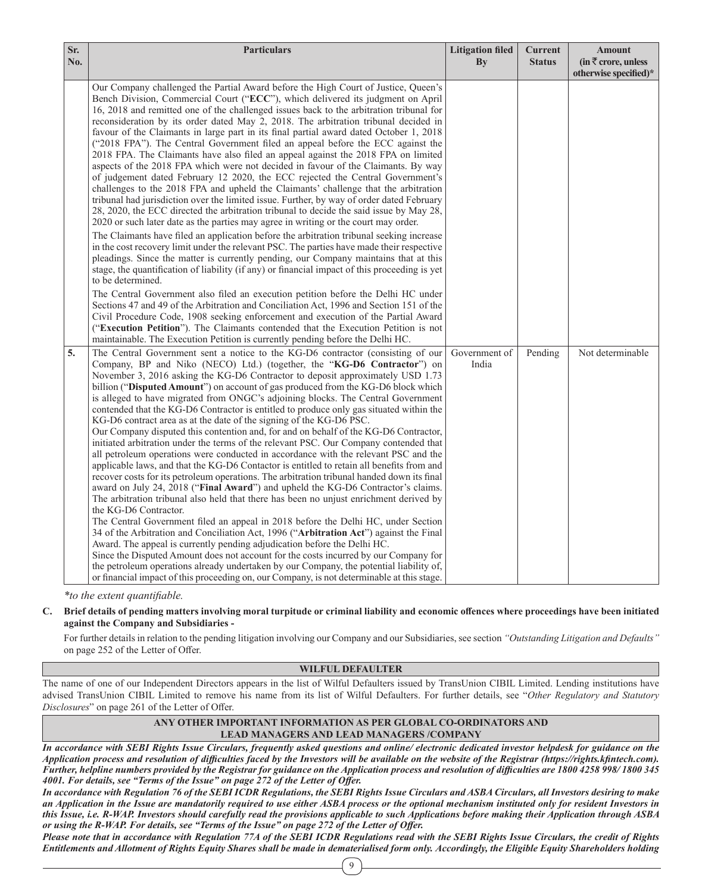| Sr.<br>No. | <b>Particulars</b>                                                                                                                                                                                                                                                                                                                                                                                                                                                                                                                                                                                                                                                                                                                                                                                                                                                                                                                                                                                                                                                                                                                                                                                                                                                                                                                                                                                                                                                                                                                                                                                                                                                                                                                                                                                                                                                                                                                                                                                                         | <b>Litigation filed</b><br>By | <b>Current</b><br><b>Status</b> | <b>Amount</b><br>(in $\overline{\tau}$ crore, unless<br>otherwise specified)* |
|------------|----------------------------------------------------------------------------------------------------------------------------------------------------------------------------------------------------------------------------------------------------------------------------------------------------------------------------------------------------------------------------------------------------------------------------------------------------------------------------------------------------------------------------------------------------------------------------------------------------------------------------------------------------------------------------------------------------------------------------------------------------------------------------------------------------------------------------------------------------------------------------------------------------------------------------------------------------------------------------------------------------------------------------------------------------------------------------------------------------------------------------------------------------------------------------------------------------------------------------------------------------------------------------------------------------------------------------------------------------------------------------------------------------------------------------------------------------------------------------------------------------------------------------------------------------------------------------------------------------------------------------------------------------------------------------------------------------------------------------------------------------------------------------------------------------------------------------------------------------------------------------------------------------------------------------------------------------------------------------------------------------------------------------|-------------------------------|---------------------------------|-------------------------------------------------------------------------------|
|            | Our Company challenged the Partial Award before the High Court of Justice, Queen's<br>Bench Division, Commercial Court ("ECC"), which delivered its judgment on April<br>16, 2018 and remitted one of the challenged issues back to the arbitration tribunal for<br>reconsideration by its order dated May 2, 2018. The arbitration tribunal decided in<br>favour of the Claimants in large part in its final partial award dated October 1, 2018<br>("2018 FPA"). The Central Government filed an appeal before the ECC against the<br>2018 FPA. The Claimants have also filed an appeal against the 2018 FPA on limited<br>aspects of the 2018 FPA which were not decided in favour of the Claimants. By way<br>of judgement dated February 12 2020, the ECC rejected the Central Government's<br>challenges to the 2018 FPA and upheld the Claimants' challenge that the arbitration<br>tribunal had jurisdiction over the limited issue. Further, by way of order dated February<br>28, 2020, the ECC directed the arbitration tribunal to decide the said issue by May 28,<br>2020 or such later date as the parties may agree in writing or the court may order.<br>The Claimants have filed an application before the arbitration tribunal seeking increase<br>in the cost recovery limit under the relevant PSC. The parties have made their respective<br>pleadings. Since the matter is currently pending, our Company maintains that at this<br>stage, the quantification of liability (if any) or financial impact of this proceeding is yet<br>to be determined.<br>The Central Government also filed an execution petition before the Delhi HC under<br>Sections 47 and 49 of the Arbitration and Conciliation Act, 1996 and Section 151 of the<br>Civil Procedure Code, 1908 seeking enforcement and execution of the Partial Award<br>("Execution Petition"). The Claimants contended that the Execution Petition is not<br>maintainable. The Execution Petition is currently pending before the Delhi HC. |                               |                                 |                                                                               |
| 5.         | The Central Government sent a notice to the KG-D6 contractor (consisting of our<br>Company, BP and Niko (NECO) Ltd.) (together, the " <b>KG-D6 Contractor</b> ") on<br>November 3, 2016 asking the KG-D6 Contractor to deposit approximately USD 1.73<br>billion ("Disputed Amount") on account of gas produced from the KG-D6 block which<br>is alleged to have migrated from ONGC's adjoining blocks. The Central Government<br>contended that the KG-D6 Contractor is entitled to produce only gas situated within the<br>KG-D6 contract area as at the date of the signing of the KG-D6 PSC.<br>Our Company disputed this contention and, for and on behalf of the KG-D6 Contractor,<br>initiated arbitration under the terms of the relevant PSC. Our Company contended that<br>all petroleum operations were conducted in accordance with the relevant PSC and the<br>applicable laws, and that the KG-D6 Contactor is entitled to retain all benefits from and<br>recover costs for its petroleum operations. The arbitration tribunal handed down its final<br>award on July 24, 2018 ("Final Award") and upheld the KG-D6 Contractor's claims.<br>The arbitration tribunal also held that there has been no unjust enrichment derived by<br>the KG-D6 Contractor.<br>The Central Government filed an appeal in 2018 before the Delhi HC, under Section<br>34 of the Arbitration and Conciliation Act, 1996 ("Arbitration Act") against the Final<br>Award. The appeal is currently pending adjudication before the Delhi HC.<br>Since the Disputed Amount does not account for the costs incurred by our Company for<br>the petroleum operations already undertaken by our Company, the potential liability of,<br>or financial impact of this proceeding on, our Company, is not determinable at this stage.                                                                                                                                                                                                     | Government of<br>India        | Pending                         | Not determinable                                                              |

*\*to the extent quantifiable.*

**C. Brief details of pending matters involving moral turpitude or criminal liability and economic offences where proceedings have been initiated against the Company and Subsidiaries -**

For further details in relation to the pending litigation involving our Company and our Subsidiaries, see section *"Outstanding Litigation and Defaults"* on page 252 of the Letter of Offer.

# **WILFUL DEFAULTER**

The name of one of our Independent Directors appears in the list of Wilful Defaulters issued by TransUnion CIBIL Limited. Lending institutions have advised TransUnion CIBIL Limited to remove his name from its list of Wilful Defaulters. For further details, see "*Other Regulatory and Statutory Disclosures*" on page 261 of the Letter of Offer.

### **ANY OTHER IMPORTANT INFORMATION AS PER GLOBAL CO-ORDINATORS AND LEAD MANAGERS AND LEAD MANAGERS /COMPANY**

*In accordance with SEBI Rights Issue Circulars, frequently asked questions and online/ electronic dedicated investor helpdesk for guidance on the Application process and resolution of difficulties faced by the Investors will be available on the website of the Registrar (https://rights.kfintech.com). Further, helpline numbers provided by the Registrar for guidance on the Application process and resolution of difficulties are 1800 4258 998/ 1800 345 4001. For details, see "Terms of the Issue" on page 272 of the Letter of Offer.* 

*In accordance with Regulation 76 of the SEBI ICDR Regulations, the SEBI Rights Issue Circulars and ASBA Circulars, all Investors desiring to make an Application in the Issue are mandatorily required to use either ASBA process or the optional mechanism instituted only for resident Investors in this Issue, i.e. R-WAP. Investors should carefully read the provisions applicable to such Applications before making their Application through ASBA or using the R-WAP. For details, see "Terms of the Issue" on page 272 of the Letter of Offer.*

9 *Please note that in accordance with Regulation 77A of the SEBI ICDR Regulations read with the SEBI Rights Issue Circulars, the credit of Rights Entitlements and Allotment of Rights Equity Shares shall be made in dematerialised form only. Accordingly, the Eligible Equity Shareholders holding*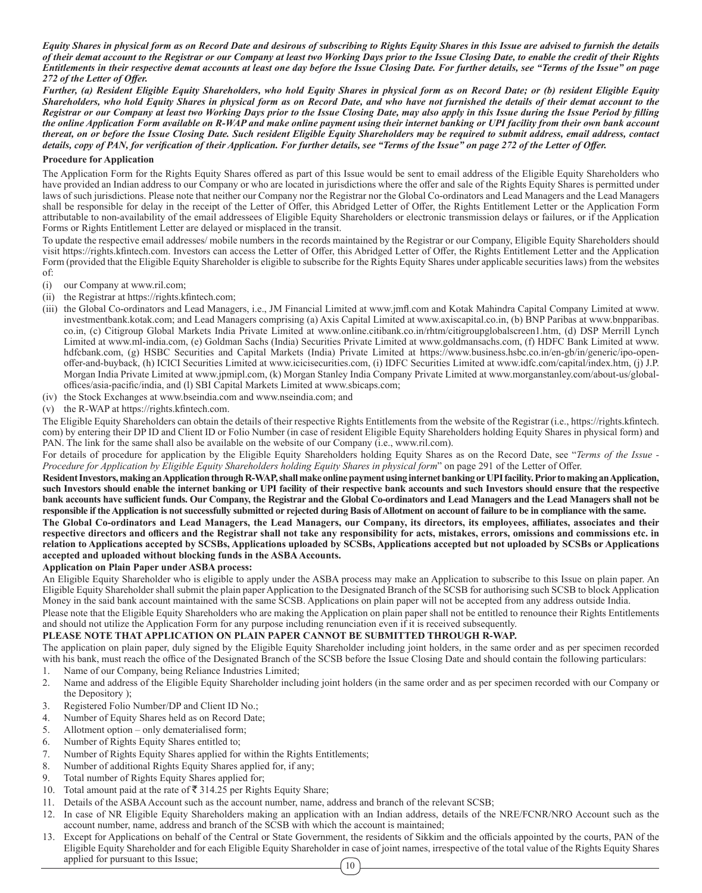*Equity Shares in physical form as on Record Date and desirous of subscribing to Rights Equity Shares in this Issue are advised to furnish the details of their demat account to the Registrar or our Company at least two Working Days prior to the Issue Closing Date, to enable the credit of their Rights Entitlements in their respective demat accounts at least one day before the Issue Closing Date. For further details, see "Terms of the Issue" on page 272 of the Letter of Offer.*

*Further, (a) Resident Eligible Equity Shareholders, who hold Equity Shares in physical form as on Record Date; or (b) resident Eligible Equity Shareholders, who hold Equity Shares in physical form as on Record Date, and who have not furnished the details of their demat account to the Registrar or our Company at least two Working Days prior to the Issue Closing Date, may also apply in this Issue during the Issue Period by filling the online Application Form available on R-WAP and make online payment using their internet banking or UPI facility from their own bank account thereat, on or before the Issue Closing Date. Such resident Eligible Equity Shareholders may be required to submit address, email address, contact details, copy of PAN, for verification of their Application. For further details, see "Terms of the Issue" on page 272 of the Letter of Offer.* 

#### **Procedure for Application**

The Application Form for the Rights Equity Shares offered as part of this Issue would be sent to email address of the Eligible Equity Shareholders who have provided an Indian address to our Company or who are located in jurisdictions where the offer and sale of the Rights Equity Shares is permitted under laws of such jurisdictions. Please note that neither our Company nor the Registrar nor the Global Co-ordinators and Lead Managers and the Lead Managers shall be responsible for delay in the receipt of the Letter of Offer, this Abridged Letter of Offer, the Rights Entitlement Letter or the Application Form attributable to non-availability of the email addressees of Eligible Equity Shareholders or electronic transmission delays or failures, or if the Application Forms or Rights Entitlement Letter are delayed or misplaced in the transit.

To update the respective email addresses/ mobile numbers in the records maintained by the Registrar or our Company, Eligible Equity Shareholders should visit https://rights.kfintech.com. Investors can access the Letter of Offer, this Abridged Letter of Offer, the Rights Entitlement Letter and the Application Form (provided that the Eligible Equity Shareholder is eligible to subscribe for the Rights Equity Shares under applicable securities laws) from the websites of:

- (i) our Company at www.ril.com;
- (ii) the Registrar at https://rights.kfintech.com;
- (iii) the Global Co-ordinators and Lead Managers, i.e., JM Financial Limited at www.jmfl.com and Kotak Mahindra Capital Company Limited at www. investmentbank.kotak.com; and Lead Managers comprising (a) Axis Capital Limited at www.axiscapital.co.in, (b) BNP Paribas at www.bnpparibas. co.in, (c) Citigroup Global Markets India Private Limited at www.online.citibank.co.in/rhtm/citigroupglobalscreen1.htm, (d) DSP Merrill Lynch Limited at www.ml-india.com, (e) Goldman Sachs (India) Securities Private Limited at www.goldmansachs.com, (f) HDFC Bank Limited at www. hdfcbank.com, (g) HSBC Securities and Capital Markets (India) Private Limited at https://www.business.hsbc.co.in/en-gb/in/generic/ipo-openoffer-and-buyback, (h) ICICI Securities Limited at www.icicisecurities.com, (i) IDFC Securities Limited at www.idfc.com/capital/index.htm, (j) J.P. Morgan India Private Limited at www.jpmipl.com, (k) Morgan Stanley India Company Private Limited at www.morganstanley.com/about-us/globaloffices/asia-pacific/india, and (l) SBI Capital Markets Limited at www.sbicaps.com;
- (iv) the Stock Exchanges at www.bseindia.com and www.nseindia.com; and
- (v) the R-WAP at https://rights.kfintech.com.

The Eligible Equity Shareholders can obtain the details of their respective Rights Entitlements from the website of the Registrar (i.e., https://rights.kfintech. com) by entering their DP ID and Client ID or Folio Number (in case of resident Eligible Equity Shareholders holding Equity Shares in physical form) and PAN. The link for the same shall also be available on the website of our Company (i.e., www.ril.com).

For details of procedure for application by the Eligible Equity Shareholders holding Equity Shares as on the Record Date, see "*Terms of the Issue - Procedure for Application by Eligible Equity Shareholders holding Equity Shares in physical form*" on page 291 of the Letter of Offer.

**Resident Investors, making an Application through R-WAP, shall make online payment using internet banking or UPI facility. Prior to making an Application,**  such Investors should enable the internet banking or UPI facility of their respective bank accounts and such Investors should ensure that the respective **bank accounts have sufficient funds. Our Company, the Registrar and the Global Co-ordinators and Lead Managers and the Lead Managers shall not be responsible if the Application is not successfully submitted or rejected during Basis of Allotment on account of failure to be in compliance with the same.**

**The Global Co-ordinators and Lead Managers, the Lead Managers, our Company, its directors, its employees, affiliates, associates and their respective directors and officers and the Registrar shall not take any responsibility for acts, mistakes, errors, omissions and commissions etc. in relation to Applications accepted by SCSBs, Applications uploaded by SCSBs, Applications accepted but not uploaded by SCSBs or Applications accepted and uploaded without blocking funds in the ASBA Accounts.**

#### **Application on Plain Paper under ASBA process:**

An Eligible Equity Shareholder who is eligible to apply under the ASBA process may make an Application to subscribe to this Issue on plain paper. An Eligible Equity Shareholder shall submit the plain paper Application to the Designated Branch of the SCSB for authorising such SCSB to block Application Money in the said bank account maintained with the same SCSB. Applications on plain paper will not be accepted from any address outside India.

Please note that the Eligible Equity Shareholders who are making the Application on plain paper shall not be entitled to renounce their Rights Entitlements and should not utilize the Application Form for any purpose including renunciation even if it is received subsequently.

# **PLEASE NOTE THAT APPLICATION ON PLAIN PAPER CANNOT BE SUBMITTED THROUGH R-WAP.**

The application on plain paper, duly signed by the Eligible Equity Shareholder including joint holders, in the same order and as per specimen recorded with his bank, must reach the office of the Designated Branch of the SCSB before the Issue Closing Date and should contain the following particulars:

- 1. Name of our Company, being Reliance Industries Limited;
- 2. Name and address of the Eligible Equity Shareholder including joint holders (in the same order and as per specimen recorded with our Company or the Depository );
- 3. Registered Folio Number/DP and Client ID No.;
- 4. Number of Equity Shares held as on Record Date;
- 5. Allotment option only dematerialised form;
- 6. Number of Rights Equity Shares entitled to;
- 7. Number of Rights Equity Shares applied for within the Rights Entitlements;
- 8. Number of additional Rights Equity Shares applied for, if any;
- 9. Total number of Rights Equity Shares applied for;
- 10. Total amount paid at the rate of  $\overline{\mathfrak{F}}$  314.25 per Rights Equity Share;
- 11. Details of the ASBA Account such as the account number, name, address and branch of the relevant SCSB;
- 12. In case of NR Eligible Equity Shareholders making an application with an Indian address, details of the NRE/FCNR/NRO Account such as the account number, name, address and branch of the SCSB with which the account is maintained;
- 10 13. Except for Applications on behalf of the Central or State Government, the residents of Sikkim and the officials appointed by the courts, PAN of the Eligible Equity Shareholder and for each Eligible Equity Shareholder in case of joint names, irrespective of the total value of the Rights Equity Shares applied for pursuant to this Issue;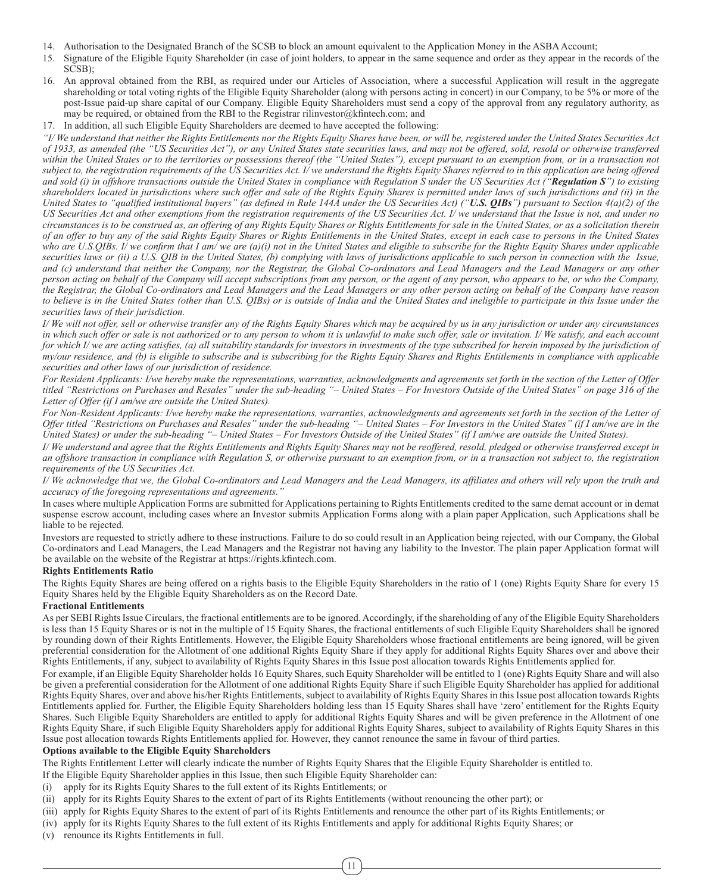- 14. Authorisation to the Designated Branch of the SCSB to block an amount equivalent to the Application Money in the ASBA Account;
- 15. Signature of the Eligible Equity Shareholder (in case of joint holders, to appear in the same sequence and order as they appear in the records of the SCSB);
- 16. An approval obtained from the RBI, as required under our Articles of Association, where a successful Application will result in the aggregate shareholding or total voting rights of the Eligible Equity Shareholder (along with persons acting in concert) in our Company, to be 5% or more of the post-Issue paid-up share capital of our Company. Eligible Equity Shareholders must send a copy of the approval from any regulatory authority, as may be required, or obtained from the RBI to the Registrar rilinvestor@kfintech.com; and
- 17. In addition, all such Eligible Equity Shareholders are deemed to have accepted the following:

*"I/ We understand that neither the Rights Entitlements nor the Rights Equity Shares have been, or will be, registered under the United States Securities Act of 1933, as amended (the "US Securities Act"), or any United States state securities laws, and may not be offered, sold, resold or otherwise transferred*  within the United States or to the territories or possessions thereof (the "United States"), except pursuant to an exemption from, or in a transaction not *subject to, the registration requirements of the US Securities Act. I/ we understand the Rights Equity Shares referred to in this application are being offered and sold (i) in offshore transactions outside the United States in compliance with Regulation S under the US Securities Act ("Regulation S") to existing shareholders located in jurisdictions where such offer and sale of the Rights Equity Shares is permitted under laws of such jurisdictions and (ii) in the United States to "qualified institutional buyers" (as defined in Rule 144A under the US Securities Act) ("U.S. QIBs") pursuant to Section 4(a)(2) of the US Securities Act and other exemptions from the registration requirements of the US Securities Act. I/ we understand that the Issue is not, and under no circumstances is to be construed as, an offering of any Rights Equity Shares or Rights Entitlements for sale in the United States, or as a solicitation therein of an offer to buy any of the said Rights Equity Shares or Rights Entitlements in the United States, except in each case to persons in the United States who are U.S.QIBs. I/ we confirm that I am/ we are (a)(i) not in the United States and eligible to subscribe for the Rights Equity Shares under applicable securities laws or (ii) a U.S. QIB in the United States, (b) complying with laws of jurisdictions applicable to such person in connection with the Issue, and (c) understand that neither the Company, nor the Registrar, the Global Co-ordinators and Lead Managers and the Lead Managers or any other person acting on behalf of the Company will accept subscriptions from any person, or the agent of any person, who appears to be, or who the Company, the Registrar, the Global Co-ordinators and Lead Managers and the Lead Managers or any other person acting on behalf of the Company have reason to believe is in the United States (other than U.S. QIBs) or is outside of India and the United States and ineligible to participate in this Issue under the securities laws of their jurisdiction.*

*I/ We will not offer, sell or otherwise transfer any of the Rights Equity Shares which may be acquired by us in any jurisdiction or under any circumstances in which such offer or sale is not authorized or to any person to whom it is unlawful to make such offer, sale or invitation. I/ We satisfy, and each account*  for which I/ we are acting satisfies, (a) all suitability standards for investors in investments of the type subscribed for herein imposed by the jurisdiction of *my/our residence, and (b) is eligible to subscribe and is subscribing for the Rights Equity Shares and Rights Entitlements in compliance with applicable securities and other laws of our jurisdiction of residence.*

*For Resident Applicants: I/we hereby make the representations, warranties, acknowledgments and agreements set forth in the section of the Letter of Offer titled "Restrictions on Purchases and Resales" under the sub-heading "– United States – For Investors Outside of the United States" on page 316 of the Letter of Offer (if I am/we are outside the United States).*

*For Non-Resident Applicants: I/we hereby make the representations, warranties, acknowledgments and agreements set forth in the section of the Letter of Offer titled "Restrictions on Purchases and Resales" under the sub-heading "– United States – For Investors in the United States" (if I am/we are in the United States) or under the sub-heading "– United States – For Investors Outside of the United States" (if I am/we are outside the United States).*

*I/ We understand and agree that the Rights Entitlements and Rights Equity Shares may not be reoffered, resold, pledged or otherwise transferred except in an offshore transaction in compliance with Regulation S, or otherwise pursuant to an exemption from, or in a transaction not subject to, the registration requirements of the US Securities Act.*

*I/ We acknowledge that we, the Global Co-ordinators and Lead Managers and the Lead Managers, its affiliates and others will rely upon the truth and accuracy of the foregoing representations and agreements."*

In cases where multiple Application Forms are submitted for Applications pertaining to Rights Entitlements credited to the same demat account or in demat suspense escrow account, including cases where an Investor submits Application Forms along with a plain paper Application, such Applications shall be liable to be rejected.

Investors are requested to strictly adhere to these instructions. Failure to do so could result in an Application being rejected, with our Company, the Global Co-ordinators and Lead Managers, the Lead Managers and the Registrar not having any liability to the Investor. The plain paper Application format will be available on the website of the Registrar at https://rights.kfintech.com.

# **Rights Entitlements Ratio**

The Rights Equity Shares are being offered on a rights basis to the Eligible Equity Shareholders in the ratio of 1 (one) Rights Equity Share for every 15 Equity Shares held by the Eligible Equity Shareholders as on the Record Date.

#### **Fractional Entitlements**

As per SEBI Rights Issue Circulars, the fractional entitlements are to be ignored. Accordingly, if the shareholding of any of the Eligible Equity Shareholders is less than 15 Equity Shares or is not in the multiple of 15 Equity Shares, the fractional entitlements of such Eligible Equity Shareholders shall be ignored by rounding down of their Rights Entitlements. However, the Eligible Equity Shareholders whose fractional entitlements are being ignored, will be given preferential consideration for the Allotment of one additional Rights Equity Share if they apply for additional Rights Equity Shares over and above their Rights Entitlements, if any, subject to availability of Rights Equity Shares in this Issue post allocation towards Rights Entitlements applied for.

For example, if an Eligible Equity Shareholder holds 16 Equity Shares, such Equity Shareholder will be entitled to 1 (one) Rights Equity Share and will also be given a preferential consideration for the Allotment of one additional Rights Equity Share if such Eligible Equity Shareholder has applied for additional Rights Equity Shares, over and above his/her Rights Entitlements, subject to availability of Rights Equity Shares in this Issue post allocation towards Rights Entitlements applied for. Further, the Eligible Equity Shareholders holding less than 15 Equity Shares shall have 'zero' entitlement for the Rights Equity Shares. Such Eligible Equity Shareholders are entitled to apply for additional Rights Equity Shares and will be given preference in the Allotment of one Rights Equity Share, if such Eligible Equity Shareholders apply for additional Rights Equity Shares, subject to availability of Rights Equity Shares in this Issue post allocation towards Rights Entitlements applied for. However, they cannot renounce the same in favour of third parties.

# **Options available to the Eligible Equity Shareholders**

The Rights Entitlement Letter will clearly indicate the number of Rights Equity Shares that the Eligible Equity Shareholder is entitled to.

- If the Eligible Equity Shareholder applies in this Issue, then such Eligible Equity Shareholder can:
- (i) apply for its Rights Equity Shares to the full extent of its Rights Entitlements; or
- (ii) apply for its Rights Equity Shares to the extent of part of its Rights Entitlements (without renouncing the other part); or
- (iii) apply for Rights Equity Shares to the extent of part of its Rights Entitlements and renounce the other part of its Rights Entitlements; or
- (iv) apply for its Rights Equity Shares to the full extent of its Rights Entitlements and apply for additional Rights Equity Shares; or
- (v) renounce its Rights Entitlements in full.